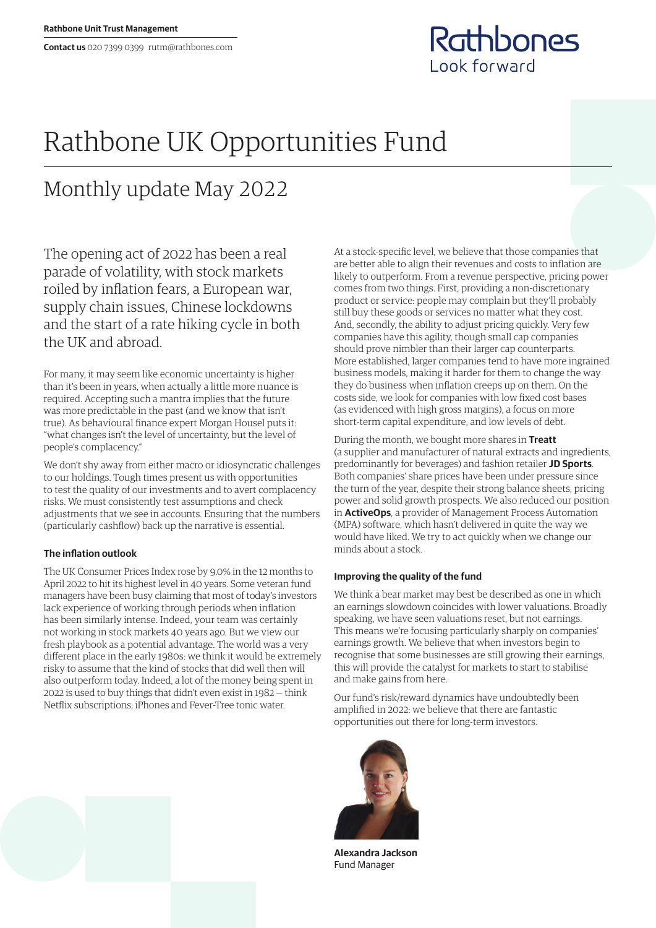

## Rathbone UK Opportunities Fund

## Monthly update May 2022

The opening act of 2022 has been a real parade of volatility, with stock markets roiled by inflation fears, a European war, supply chain issues, Chinese lockdowns and the start of a rate hiking cycle in both the UK and abroad.

For many, it may seem like economic uncertainty is higher than it's been in years, when actually a little more nuance is required. Accepting such a mantra implies that the future was more predictable in the past (and we know that isn't true). As behavioural finance expert Morgan Housel puts it: "what changes isn't the level of uncertainty, but the level of people's complacency."

We don't shy away from either macro or idiosyncratic challenges to our holdings. Tough times present us with opportunities to test the quality of our investments and to avert complacency risks. We must consistently test assumptions and check adjustments that we see in accounts. Ensuring that the numbers (particularly cashflow) back up the narrative is essential.

## **The inflation outlook**

The UK Consumer Prices Index rose by 9.0% in the 12 months to April 2022 to hit its highest level in 40 years. Some veteran fund managers have been busy claiming that most of today's investors lack experience of working through periods when inflation has been similarly intense. Indeed, your team was certainly not working in stock markets 40 years ago. But we view our fresh playbook as a potential advantage. The world was a very different place in the early 1980s: we think it would be extremely risky to assume that the kind of stocks that did well then will also outperform today. Indeed, a lot of the money being spent in 2022 is used to buy things that didn't even exist in 1982 — think Netflix subscriptions, iPhones and Fever-Tree tonic water.

At a stock-specific level, we believe that those companies that are better able to align their revenues and costs to inflation are likely to outperform. From a revenue perspective, pricing power comes from two things. First, providing a non-discretionary product or service: people may complain but they'll probably still buy these goods or services no matter what they cost. And, secondly, the ability to adjust pricing quickly. Very few companies have this agility, though small cap companies should prove nimbler than their larger cap counterparts. More established, larger companies tend to have more ingrained business models, making it harder for them to change the way they do business when inflation creeps up on them. On the costs side, we look for companies with low fixed cost bases (as evidenced with high gross margins), a focus on more short-term capital expenditure, and low levels of debt.

During the month, we bought more shares in **Treatt** (a supplier and manufacturer of natural extracts and ingredients, predominantly for beverages) and fashion retailer **JD Sports**. Both companies' share prices have been under pressure since the turn of the year, despite their strong balance sheets, pricing power and solid growth prospects. We also reduced our position in **ActiveOps**, a provider of Management Process Automation (MPA) software, which hasn't delivered in quite the way we would have liked. We try to act quickly when we change our minds about a stock.

## **Improving the quality of the fund**

We think a bear market may best be described as one in which an earnings slowdown coincides with lower valuations. Broadly speaking, we have seen valuations reset, but not earnings. This means we're focusing particularly sharply on companies' earnings growth. We believe that when investors begin to recognise that some businesses are still growing their earnings, this will provide the catalyst for markets to start to stabilise and make gains from here.

Our fund's risk/reward dynamics have undoubtedly been amplified in 2022: we believe that there are fantastic opportunities out there for long-term investors.



**Alexandra Jackson** Fund Manager